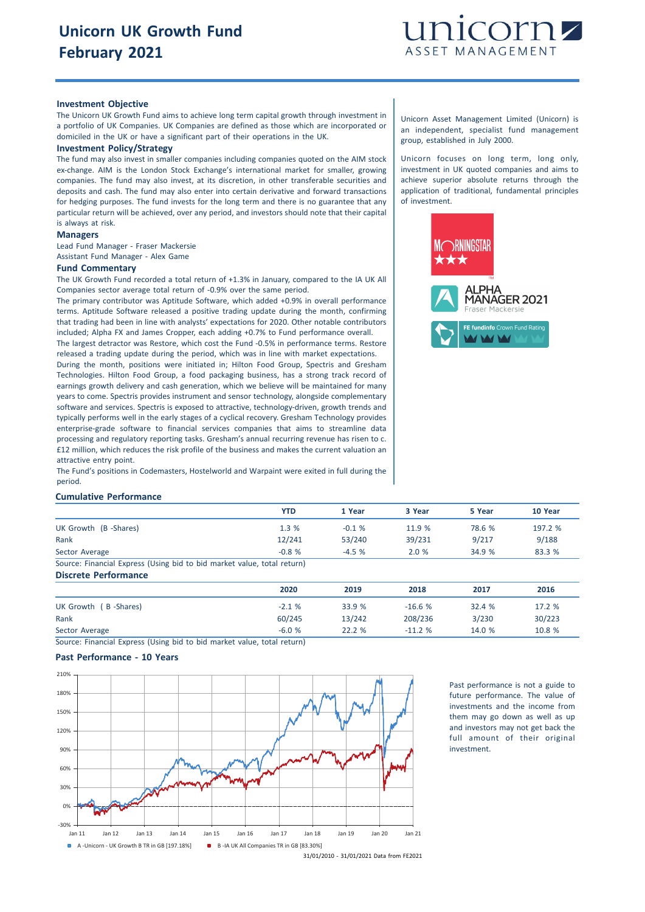

# **Investment Objective**

The Unicorn UK Growth Fund aims to achieve long term capital growth through investment in a portfolio of UK Companies. UK Companies are defined as those which are incorporated or domiciled in the UK or have a significant part of their operations in the UK.

#### **Investment Policy/Strategy**

The fund may also invest in smaller companies including companies quoted on the AIM stock ex-change. AIM is the London Stock Exchange's international market for smaller, growing companies. The fund may also invest, at its discretion, in other transferable securities and deposits and cash. The fund may also enter into certain derivative and forward transactions for hedging purposes. The fund invests for the long term and there is no guarantee that any particular return will be achieved, over any period, and investors should note that their capital is always at risk.

### **Managers**

Lead Fund Manager - Fraser Mackersie

Assistant Fund Manager - Alex Game

### **Fund Commentary**

The UK Growth Fund recorded a total return of +1.3% in January, compared to the IA UK All Companies sector average total return of -0.9% over the same period.

The primary contributor was Aptitude Software, which added +0.9% in overall performance terms. Aptitude Software released a positive trading update during the month, confirming that trading had been in line with analysts' expectations for 2020. Other notable contributors included; Alpha FX and James Cropper, each adding +0.7% to Fund performance overall.

The largest detractor was Restore, which cost the Fund -0.5% in performance terms. Restore released a trading update during the period, which was in line with market expectations.

During the month, positions were initiated in; Hilton Food Group, Spectris and Gresham Technologies. Hilton Food Group, a food packaging business, has a strong track record of earnings growth delivery and cash generation, which we believe will be maintained for many years to come. Spectris provides instrument and sensor technology, alongside complementary software and services. Spectris is exposed to attractive, technology-driven, growth trends and typically performs well in the early stages of a cyclical recovery. Gresham Technology provides enterprise-grade software to financial services companies that aims to streamline data processing and regulatory reporting tasks. Gresham's annual recurring revenue has risen to c. £12 million, which reduces the risk profile of the business and makes the current valuation an attractive entry point.

The Fund's positions in Codemasters, Hostelworld and Warpaint were exited in full during the period.

#### **Cumulative Performance**

|                                                                         | YTD     | 1 Year  | 3 Year | 5 Year | 10 Year |
|-------------------------------------------------------------------------|---------|---------|--------|--------|---------|
| UK Growth (B-Shares)                                                    | 1.3%    | $-0.1%$ | 11.9 % | 78.6 % | 197.2 % |
| Rank                                                                    | 12/241  | 53/240  | 39/231 | 9/217  | 9/188   |
| Sector Average                                                          | $-0.8%$ | $-4.5%$ | 2.0%   | 34.9 % | 83.3 %  |
| Source: Financial Express (Using bid to bid market value, total return) |         |         |        |        |         |
| Discrete Performance                                                    |         |         |        |        |         |

|                      | 2020    | 2019   | 2018     | 2017   | 2016   |
|----------------------|---------|--------|----------|--------|--------|
| UK Growth (B-Shares) | $-2.1%$ | 33.9 % | $-16.6%$ | 32.4 % | 17.2 % |
| Rank                 | 60/245  | 13/242 | 208/236  | 3/230  | 30/223 |
| Sector Average       | $-6.0%$ | 22.2 % | $-11.2%$ | 14.0 % | 10.8 % |

Source: Financial Express (Using bid to bid market value, total return)

# **Past Performance - 10 Years**



Past performance is not a guide to future performance. The value of investments and the income from them may go down as well as up and investors may not get back the full amount of their original investment.

Unicorn Asset Management Limited (Unicorn) is an independent, specialist fund management group, established in July 2000.

Unicorn focuses on long term, long only, investment in UK quoted companies and aims to achieve superior absolute returns through the application of traditional, fundamental principles of investment.